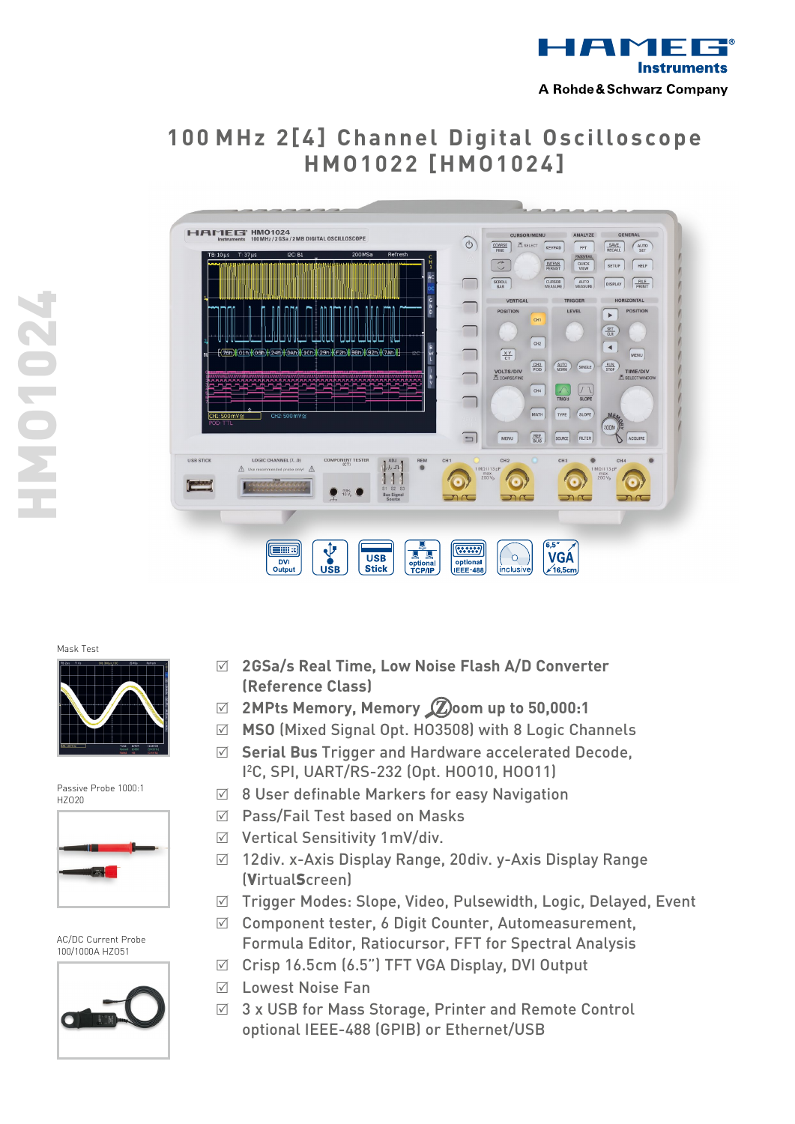

# **1 0 0 MHz 2 [ 4 ] C h a n n e l Di gi t a l O sci l l o sc o p e HMO 1 0 2 2 [HMO 1 0 2 4 ]**



HMO1024 **770 LONE** 

### Mask Test



Passive Probe 1000:1 HZO20



AC/DC Current Probe 100/1000A HZO51



- R **2 GSa/s Real Time, Low Noise Flash A/D Converter (Reference Class)**
- R **2 MPts Memory, Memory oom up to 50,000:1**
- R **MSO** (Mixed Signal Opt. HO3508) with 8 Logic Channels
- R **Serial Bus** Trigger and Hardware accelerated Decode, I 2 C, SPI, UART/RS-232 (Opt. HOO10, HOO11)
- $\boxtimes$  8 User definable Markers for easy Navigation
- $\boxtimes$  Pass/Fail Test based on Masks
- $\boxtimes$  Vertical Sensitivity 1mV/div.
- $\boxtimes$  12div. x-Axis Display Range, 20div. y-Axis Display Range (VirtualScreen)
- R Trigger Modes: Slope, Video, Pulsewidth, Logic, Delayed, Event
- $\boxtimes$  Component tester, 6 Digit Counter, Automeasurement, Formula Editor, Ratiocursor, FFT for Spectral Analysis
- $\boxtimes$  Crisp 16.5cm (6.5") TFT VGA Display, DVI Output
- $\nabla$  Lowest Noise Fan
- $\boxtimes$  3 x USB for Mass Storage, Printer and Remote Control optional IEEE-488 (GPIB) or Ethernet/USB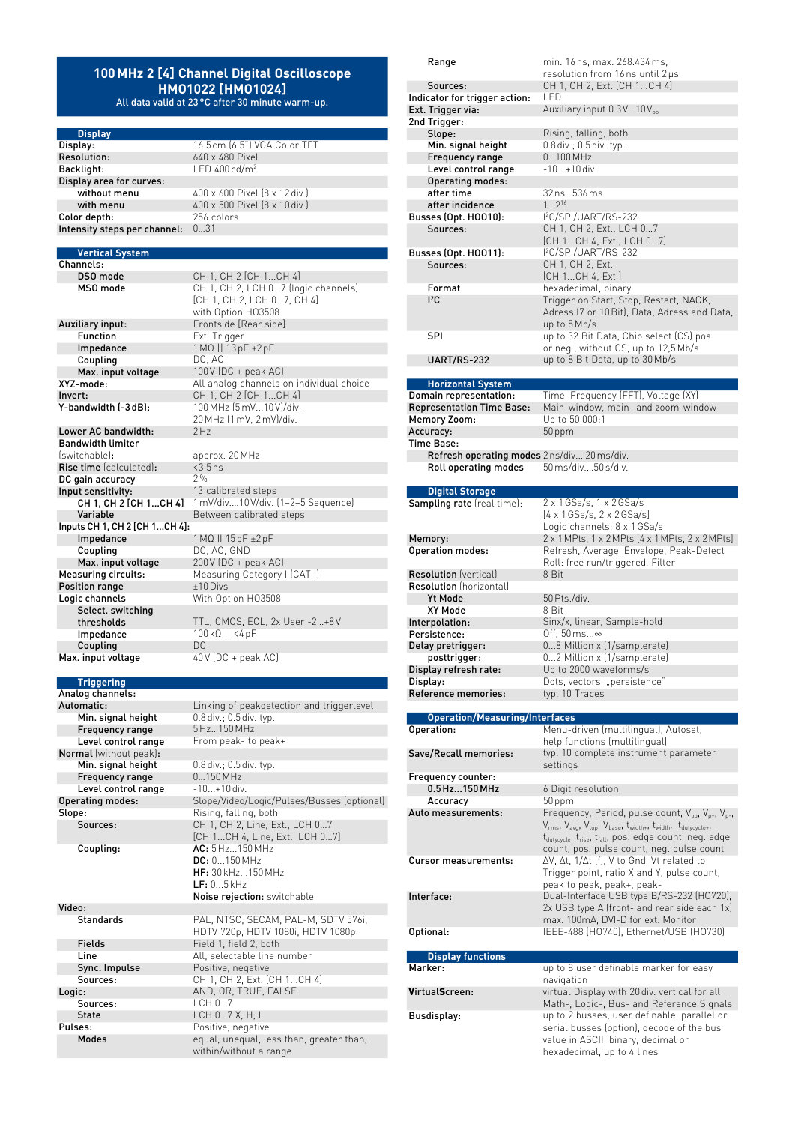## **100MHz 2 [4] Channel Digital Oscilloscope HMO1022 [HMO1024]**

All data valid at 23°C after 30 minute warm-up.

640 x 480 Pixel

1 MΩ || 13 pF ±2 pF<br>DC, AC

20MHz (1mV, 2mV)/div.

 $200V$  (DC + peak AC)

100kΩ || <4pF

CH 1, CH 2, LCH 0...7 (logic channels) [CH 1, CH 2, LCH 0…7, CH 4] with Option HO3508

All analog channels on individual choice

1 mV/div....10V/div. (1–2–5 Sequence)

**Display** Display: 16.5cm (6.5") VGA Color TFT<br>
Resolution: 640 x 480 Pixel Backlight: LED 400 cd/m<sup>2</sup> Display area for curves: without menu 400 x 600 Pixel (8 x 12 div.) with menu  $400 \times 500$  Pixel  $(8 \times 10)$  div.)<br>or depth:  $256$  colors Color depth: Intensity steps per channel: 0…31

#### **Vertical System** Channels:

**DSO mode** CH 1, CH 2 [CH 1...CH 4]<br> **MSO mode** CH 1, CH 2, LCH 0...7 (log Auxiliary input: Frontside [Rear side] **Function** Ext. Trigger<br> **Impedance** 1 MQ || 13 pl Coupling<br>Max. input voltage Max. input voltage 100V (DC + peak AC)<br>XYZ-mode: All analog channels of **Invert:** CH 1, CH 2 [CH 1...CH 4] Y-bandwidth (-3dB): 100 MHz (5mV...10 V)/div.

Lower AC bandwidth: Bandwidth limiter (switchable): approx. 20MHz **Rise time** (calculated):  $\times$   $\frac{3.5}{3}$  ns<br>DC gain accuracy 2% DC gain accuracy<br>Input sensitivity: It sensitivity:  $13$  calibrated steps<br>CH 1, CH 2 [CH 1...CH 4]  $1 \text{ mV/div...}10 \text{V/div.}$ Variable **Between calibrated steps** Inputs CH 1, CH 2 [CH 1…CH 4]: Impedance 1MΩ II 15pF ±2pF **Coupling** DC, AC, GND<br> **Max. input voltage** 200V (DC + po **Measuring circuits:** Measuring Category | [CAT |]<br> **Position range**  $+10$  Divs Position range Logic channels With Option HO3508 Select. switching<br>thresholds thresholds TTL, CMOS, ECL, 2x User -2...+8V<br>Impedance 100k0 || <4 pF Coupling DC Max. input voltage 40V (DC + peak AC)

## **Triggering**

Analog channels: Automatic: Linking of peakdetection and triggerlevel Min. signal height 0.8 div.; 0.5 div. typ.<br>
Frequency range 5Hz...150 MHz Frequency range<br>Level control range From peak- to peak+ Normal (without peak):<br>Min. signal height 0.8 div.; 0.5 div. typ.<br>0...150 MHz Frequency range Level control range -10...+10 div. Operating modes: Slope/Video/Logic/Pulses/Busses (optional) Slope: Rising, falling, both Sources: CH 1, CH 2, Line, Ext., LCH 0…7 [CH 1...CH 4, Line, Ext., LCH 0…7] Coupling: AC: 5Hz...150MHz DC: 0...150MHz HF: 30kHz...150MHz LF: 0...5kHz Noise rejection: switchable Video: Standards PAL, NTSC, SECAM, PAL-M, SDTV 576i, HDTV 720p, HDTV 1080i, HDTV 1080p Fields Field 1, field 2, both Line All, selectable line number<br>
Sync. Impulse Positive, negative Positive, negative Sources: CH 1, CH 2, Ext. [CH 1...CH 4] Logic: AND, OR, TRUE, FALSE Sources: LCH 0...7<br>State LCH 0...7  $LCH 0...7 X$ , H,  $L$ Pulses: Positive, negative Modes equal, unequal, less than, greater than,

within/without a range

| Range                                                                      | min. 16 ns, max. 268.434 ms,                                                                                                                       |
|----------------------------------------------------------------------------|----------------------------------------------------------------------------------------------------------------------------------------------------|
|                                                                            | resolution from 16 ns until 2 µs                                                                                                                   |
| Sources:                                                                   | CH 1, CH 2, Ext. [CH 1CH 4]<br>I FD                                                                                                                |
| Indicator for trigger action:<br>Ext. Trigger via:                         | Auxiliary input 0.3V10Vpp                                                                                                                          |
| 2nd Trigger:                                                               |                                                                                                                                                    |
| Slope:                                                                     | Rising, falling, both                                                                                                                              |
| Min. signal height                                                         | 0.8 div.; 0.5 div. typ.                                                                                                                            |
| <b>Frequency range</b>                                                     | 0100 MHz                                                                                                                                           |
| Level control range                                                        | -10+10 div.                                                                                                                                        |
| <b>Operating modes:</b>                                                    |                                                                                                                                                    |
| after time                                                                 | 32 ns536 ms                                                                                                                                        |
| after incidence                                                            | $12^{16}$                                                                                                                                          |
| Busses (Opt. HOO10):                                                       | I <sup>2</sup> C/SPI/UART/RS-232                                                                                                                   |
| Sources:                                                                   | CH 1, CH 2, Ext., LCH 07                                                                                                                           |
|                                                                            | [CH 1CH 4, Ext., LCH 07]                                                                                                                           |
| <b>Busses (Opt. HOO11):</b><br>Sources:                                    | I <sup>2</sup> C/SPI/UART/RS-232<br>CH 1, CH 2, Ext.                                                                                               |
|                                                                            | [CH 1…CH 4, Ext.]                                                                                                                                  |
| Format                                                                     | hexadecimal, binary                                                                                                                                |
| $l^2C$                                                                     | Trigger on Start, Stop, Restart, NACK,                                                                                                             |
|                                                                            | Adress (7 or 10 Bit), Data, Adress and Data,                                                                                                       |
|                                                                            | up to 5Mb/s                                                                                                                                        |
| SPI                                                                        | up to 32 Bit Data, Chip select (CS) pos.                                                                                                           |
|                                                                            | or neg., without CS, up to 12,5 Mb/s                                                                                                               |
| <b>UART/RS-232</b>                                                         | up to 8 Bit Data, up to 30 Mb/s                                                                                                                    |
|                                                                            |                                                                                                                                                    |
| <b>Horizontal System</b><br>Domain representation:                         | Time, Frequency (FFT), Voltage (XY)                                                                                                                |
| <b>Representation Time Base:</b>                                           | Main-window, main- and zoom-window                                                                                                                 |
| <b>Memory Zoom:</b>                                                        | Up to 50,000:1                                                                                                                                     |
| Accuracy:                                                                  | 50 ppm                                                                                                                                             |
| Time Base:                                                                 |                                                                                                                                                    |
| <b>Refresh operating modes</b> 2 ns/div20 ms/div.                          |                                                                                                                                                    |
| <b>Roll operating modes</b>                                                | 50 ms/div50 s/div.                                                                                                                                 |
|                                                                            |                                                                                                                                                    |
| <b>Digital Storage</b>                                                     |                                                                                                                                                    |
| <b>Sampling rate</b> (real time):                                          | 2 x 1 GSa/s, 1 x 2 GSa/s                                                                                                                           |
|                                                                            | [4 x 1 GSa/s, 2 x 2 GSa/s]<br>Logic channels: 8 x 1 GSa/s                                                                                          |
| Memory:                                                                    | 2 x 1 MPts, 1 x 2 MPts [4 x 1 MPts, 2 x 2 MPts]                                                                                                    |
| Operation modes:                                                           | Refresh, Average, Envelope, Peak-Detect                                                                                                            |
|                                                                            | Roll: free run/triggered, Filter                                                                                                                   |
| <b>Resolution</b> (vertical)                                               | 8 Bit                                                                                                                                              |
| <b>Resolution</b> (horizontal)                                             |                                                                                                                                                    |
|                                                                            |                                                                                                                                                    |
| <b>Yt Mode</b>                                                             | 50 Pts./div.                                                                                                                                       |
| XY Mode                                                                    | 8 Bit                                                                                                                                              |
|                                                                            | Sinx/x, linear, Sample-hold                                                                                                                        |
| Persistence:                                                               | Off, 50 ms∞                                                                                                                                        |
| Delay pretrigger:                                                          | 08 Million x (1/samplerate)                                                                                                                        |
| posttrigger:                                                               | 02 Million x (1/samplerate)                                                                                                                        |
|                                                                            | Up to 2000 waveforms/s                                                                                                                             |
|                                                                            | Dots, vectors, "persistence"<br>typ. 10 Traces                                                                                                     |
| Interpolation:<br>Display refresh rate:<br>Display:<br>Reference memories: |                                                                                                                                                    |
| <b>Operation/Measuring/Interfaces</b>                                      |                                                                                                                                                    |
|                                                                            | Menu-driven (multilingual), Autoset,                                                                                                               |
| Operation:                                                                 | help functions (multilingual)                                                                                                                      |
|                                                                            | typ. 10 complete instrument parameter                                                                                                              |
|                                                                            | settings                                                                                                                                           |
|                                                                            |                                                                                                                                                    |
| Save/Recall memories:<br>Frequency counter:<br>0.5 Hz150 MHz<br>Accuracy   | 6 Digit resolution<br>$50$ ppm                                                                                                                     |
| Auto measurements:                                                         | Frequency, Period, pulse count, V <sub>pp</sub> , V <sub>p+</sub> , V <sub>p-</sub> ,                                                              |
|                                                                            | V <sub>rms</sub> , V <sub>avg</sub> , V <sub>top</sub> , V <sub>base</sub> , t <sub>width+</sub> , t <sub>width-</sub> , t <sub>dutycycle+</sub> , |
|                                                                            | t <sub>dutycycle</sub> , t <sub>rise</sub> , t <sub>fall</sub> , pos. edge count, neg. edge                                                        |
|                                                                            | count, pos. pulse count, neg. pulse count                                                                                                          |
| Cursor measurements:                                                       | ΔV, Δt, 1/Δt (f), V to Gnd, Vt related to                                                                                                          |
|                                                                            | Trigger point, ratio X and Y, pulse count,                                                                                                         |
|                                                                            | peak to peak, peak+, peak-                                                                                                                         |
|                                                                            | Dual-Interface USB type B/RS-232 (H0720),                                                                                                          |
| Interface:                                                                 | 2x USB type A (front- and rear side each 1x)                                                                                                       |
|                                                                            | max. 100mA, DVI-D for ext. Monitor<br>IEEE-488 (H0740), Ethernet/USB (H0730)                                                                       |
|                                                                            |                                                                                                                                                    |
| <b>Display functions</b>                                                   |                                                                                                                                                    |
|                                                                            | up to 8 user definable marker for easy                                                                                                             |
|                                                                            | navigation                                                                                                                                         |
|                                                                            | virtual Display with 20 div. vertical for all                                                                                                      |
| Optional:<br>Marker:<br>VirtualScreen:                                     | Math-, Logic-, Bus- and Reference Signals                                                                                                          |
|                                                                            | up to 2 busses, user definable, parallel or                                                                                                        |
| Busdisplay:                                                                | serial busses (option), decode of the bus<br>value in ASCII, binary, decimal or                                                                    |